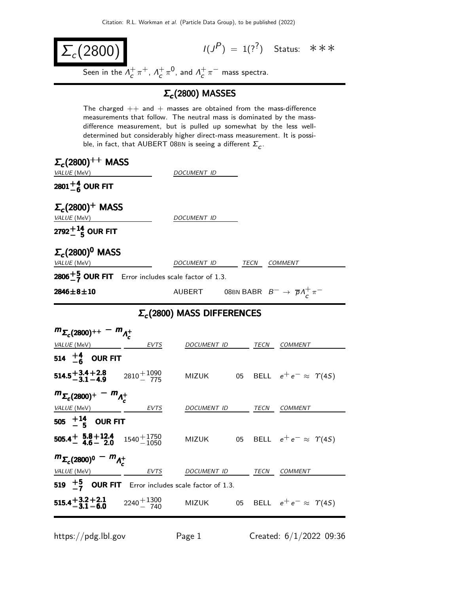$$
\Sigma_c(2800) \tag{1}
$$

 $(P) = 1(??)$  Status: \*\*\*

Seen in the  $\Lambda_c^+$  $_{c}^{+}\pi^{+}$ ,  $\Lambda_{c}^{+}$  $\frac{1}{c} \pi^0$ , and  $\Lambda_c^+$  $\frac{+}{c} \pi^-$  mass spectra.

## $Σ<sub>c</sub>(2800)$  MASSES

The charged  $++$  and  $+$  masses are obtained from the mass-difference measurements that follow. The neutral mass is dominated by the massdifference measurement, but is pulled up somewhat by the less welldetermined but considerably higher direct-mass measurement. It is possible, in fact, that  $\mathsf{AUBERT}$  08BN is seeing a different  $\mathsf{\Sigma}_{_{\mathcal{C}}}$ .

| $\Sigma_c(2800)^{++}$ MASS<br>VALUE (MeV)                                                                                        |      | DOCUMENT ID                                                       |  |  |                                             |
|----------------------------------------------------------------------------------------------------------------------------------|------|-------------------------------------------------------------------|--|--|---------------------------------------------|
| 2801 $^{+4}_{-6}$ OUR FIT                                                                                                        |      |                                                                   |  |  |                                             |
| $\Sigma_c(2800)^+$ MASS<br>VALUE (MeV)                                                                                           |      | DOCUMENT ID                                                       |  |  |                                             |
| 2792 $^{+14}_{-5}$ OUR FIT                                                                                                       |      |                                                                   |  |  |                                             |
| $\Sigma_c(2800)^0$ MASS<br>VALUE (MeV)                                                                                           |      | DOCUMENT ID TECN COMMENT                                          |  |  |                                             |
| <b>2806</b> $\frac{+5}{7}$ OUR FIT Error includes scale factor of 1.3.                                                           |      |                                                                   |  |  |                                             |
| $2846 \!\pm\! 8 \!\pm\! 10$                                                                                                      |      | AUBERT 08BN BABR $B^- \rightarrow \overline{p} \Lambda_c^+ \pi^-$ |  |  |                                             |
| $\Sigma_c$ (2800) MASS DIFFERENCES                                                                                               |      |                                                                   |  |  |                                             |
| $m_{\Sigma_c(2800)^{++}} - m_{\Lambda_c^+}$<br><i>VALUE</i> (MeV)                                                                | EVTS | DOCUMENT ID TECN COMMENT                                          |  |  |                                             |
| 514 $+4$ OUR FIT<br><b>514.5 + 3.4 + 2.8</b> $2810 + 1090$<br>$2810 - 775$                                                       |      |                                                                   |  |  | MIZUK 05 BELL $e^+e^- \approx \Upsilon(4S)$ |
| $m_{\Sigma_c(2800)^+} - m_{\Lambda_c^+}$<br>VALUE (MeV) EVTS                                                                     |      | DOCUMENT ID TECN COMMENT                                          |  |  |                                             |
| 505 $^{+14}_{-5}$ OUR FIT<br>505.4 $+$ 5.8 + 12.4 $1540 + 1750$<br>4.6 - 2.0 $1540 + 1750$                                       |      |                                                                   |  |  | MIZUK 05 BELL $e^+e^- \approx \Upsilon(4S)$ |
| $m_{\Sigma_c(2800)^0} - m_{\Lambda_c^+}$<br>VALUE (MeV)                                                                          | EVTS | DOCUMENT ID TECN COMMENT                                          |  |  |                                             |
| 519 $\frac{+5}{-7}$ OUR FIT Error includes scale factor of 1.3.<br><b>515.4<sup>+3.2+2.1</sup></b> $2240 + 1300$<br>$2240 - 740$ |      | <b>MIZUK</b>                                                      |  |  | 05 BELL $e^+e^- \approx \Upsilon(4S)$       |